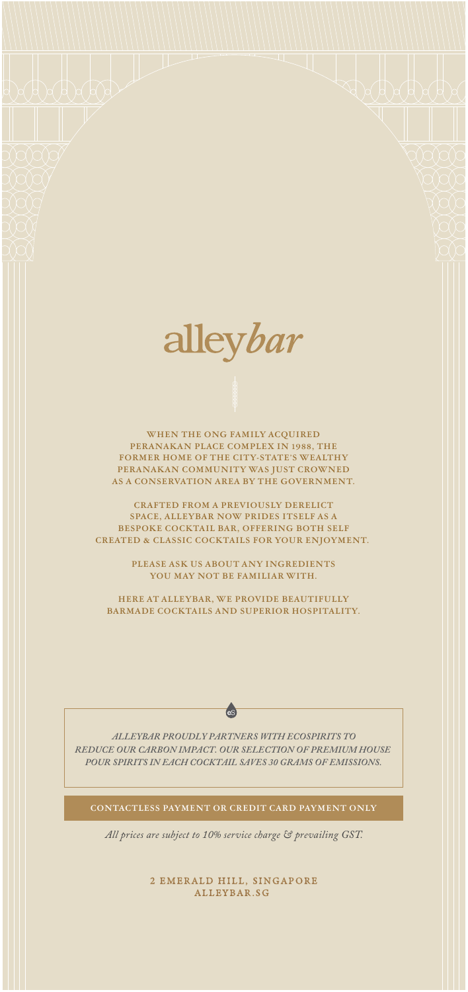

**WHEN THE ONG FAMILY ACQUIRED PERANAKAN PLACE COMPLEX IN 1988, THE FORMER HOME OF THE CITY-STATE'S WEALTHY PERANAKAN COMMUNITY WAS JUST CROWNED AS A CONSERVATION AREA BY THE GOVERNMENT.**

**CRAFTED FROM A PREVIOUSLY DERELICT SPACE, ALLEYBAR NOW PRIDES ITSELF AS A BESPOKE COCKTAIL BAR, OFFERING BOTH SELF CREATED & CLASSIC COCKTAILS FOR YOUR ENJOYMENT.** 

> **PLEASE ASK US ABOUT ANY INGREDIENTS YOU MAY NOT BE FAMILIAR WITH.**

**HERE AT ALLEYBAR, WE PROVIDE BEAUTIFULLY BARMADE COCKTAILS AND SUPERIOR HOSPITALITY.**

*ALLEYBAR PROUDLY PARTNERS WITH ECOSPIRITS TO REDUCE OUR CARBON IMPACT. OUR SELECTION OF PREMIUM HOUSE POUR SPIRITS IN EACH COCKTAIL SAVES 30 GRAMS OF EMISSIONS.*

**es** 

**CONTACTLESS PAYMENT OR CREDIT CARD PAYMENT ONLY**

*All prices are subject to 10% service charge & prevailing GST.*

2 EMERALD HILL, SINGAPORE ALLEYBAR.SG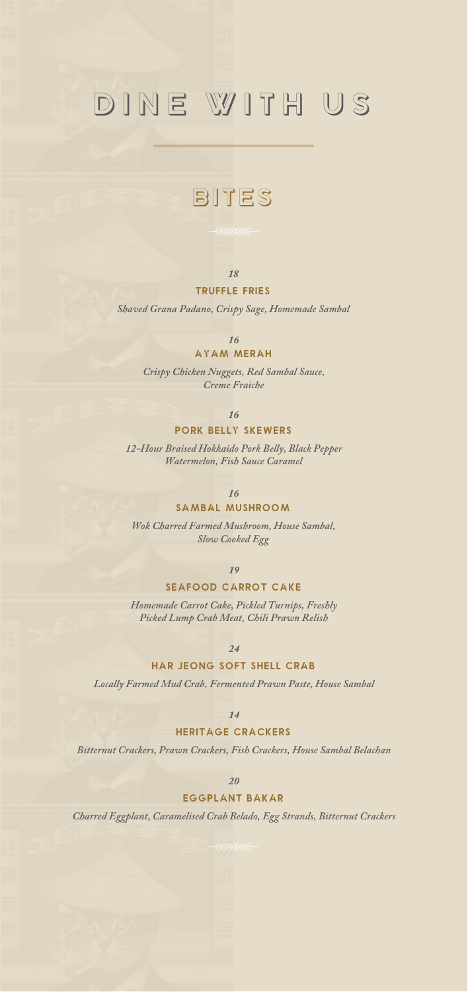# dine with us

### BITES

#### *18*

#### **Truffle Fries**

*Shaved Grana Padano, Crispy Sage, Homemade Sambal*

*16*

#### **AYAM MERAH**

*Crispy Chicken Nuggets, Red Sambal Sauce, Creme Fraiche*

### *16*

#### **Pork Belly Skewers**

*12-Hour Braised Hokkaido Pork Belly, Black Pepper Watermelon, Fish Sauce Caramel*

#### *16*

#### **Sambal Mushroom**

*Wok Charred Farmed Mushroom, House Sambal, Slow Cooked Egg*

*19*

#### **SEAFOOD CARROT CAKE**

*Homemade Carrot Cake, Pickled Turnips, Freshly Picked Lump Crab Meat, Chili Prawn Relish*

*24*

#### **Har jeong soft shell crab**

*Locally Farmed Mud Crab, Fermented Prawn Paste, House Sambal*

*14*

#### **heritage crackers**

*Bitternut Crackers, Prawn Crackers, Fish Crackers, House Sambal Belachan*

*20*

#### **Eggplant bakar**

*Charred Eggplant, Caramelised Crab Belado, Egg Strands, Bitternut Crackers*